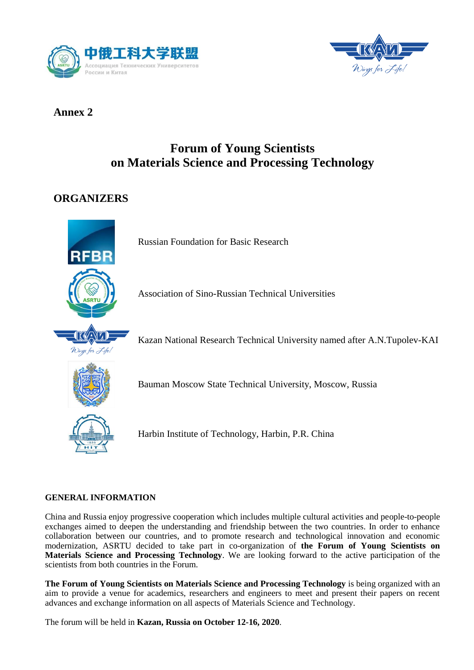



### **Annex 2**

# **Forum of Young Scientists on Materials Science and Processing Technology**

## **ORGANIZERS**



Russian Foundation for Basic Research

Association of Sino-Russian Technical Universities

Kazan National Research Technical University named after A.N.Tupolev-KAI

Bauman Moscow State Technical University, Moscow, Russia



Harbin Institute of Technology, Harbin, P.R. China

### **GENERAL INFORMATION**

China and Russia enjoy progressive cooperation which includes multiple cultural activities and people-to-people exchanges aimed to deepen the understanding and friendship between the two countries. In order to enhance collaboration between our countries, and to promote research and technological innovation and economic modernization, ASRTU decided to take part in co-organization of **the Forum of Young Scientists on Materials Science and Processing Technology**. We are looking forward to the active participation of the scientists from both countries in the Forum.

**The Forum of Young Scientists on Materials Science and Processing Technology** is being organized with an aim to provide a venue for academics, researchers and engineers to meet and present their papers on recent advances and exchange information on all aspects of Materials Science and Technology.

The forum will be held in **Kazan, Russia on October 12-16, 2020**.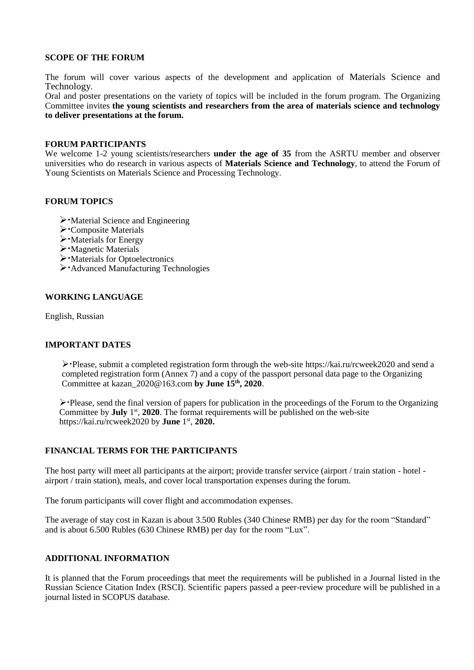#### **SCOPE OF THE FORUM**

The forum will cover various aspects of the development and application of Materials Science and Technology.

Oral and poster presentations on the variety of topics will be included in the forum program. The Organizing Committee invites **the young scientists and researchers from the area of materials science and technology to deliver presentations at the forum.**

#### **FORUM PARTICIPANTS**

We welcome 1-2 young scientists/researchers **under the age of 35** from the ASRTU member and observer universities who do research in various aspects of **Materials Science and Technology**, to attend the Forum of Young Scientists on Materials Science and Processing Technology.

#### **FORUM TOPICS**

- $\triangleright$  Material Science and Engineering
- Composite Materials
- $\triangleright$  Materials for Energy
- $\triangleright$  Magnetic Materials
- Materials for Optoelectronics
- Advanced Manufacturing Technologies

#### **WORKING LANGUAGE**

English, Russian

#### **IMPORTANT DATES**

Please, submit a completed registration form through the web-site https://kai.ru/rcweek2020 and send a completed registration form (Annex 7) and a copy of the passport personal data page to the Organizing Committee at kazan\_2020@163.com **by June 15 th, 2020**.

 $\triangleright$  Please, send the final version of papers for publication in the proceedings of the Forum to the Organizing Committee by **July** 1<sup>st</sup>, 2020. The format requirements will be published on the web-site https://kai.ru/rcweek2020 by **June** 1 st , **2020.**

#### **FINANCIAL TERMS FOR THE PARTICIPANTS**

The host party will meet all participants at the airport; provide transfer service (airport / train station - hotel airport / train station), meals, and cover local transportation expenses during the forum.

The forum participants will cover flight and accommodation expenses.

The average of stay cost in Kazan is about 3.500 Rubles (340 Chinese RMB) per day for the room "Standard" and is about 6.500 Rubles (630 Chinese RMB) per day for the room "Lux".

#### **ADDITIONAL INFORMATION**

It is planned that the Forum proceedings that meet the requirements will be published in a Journal listed in the Russian Science Citation Index (RSCI). Scientific papers passed a peer-review procedure will be published in a journal listed in SCOPUS database.